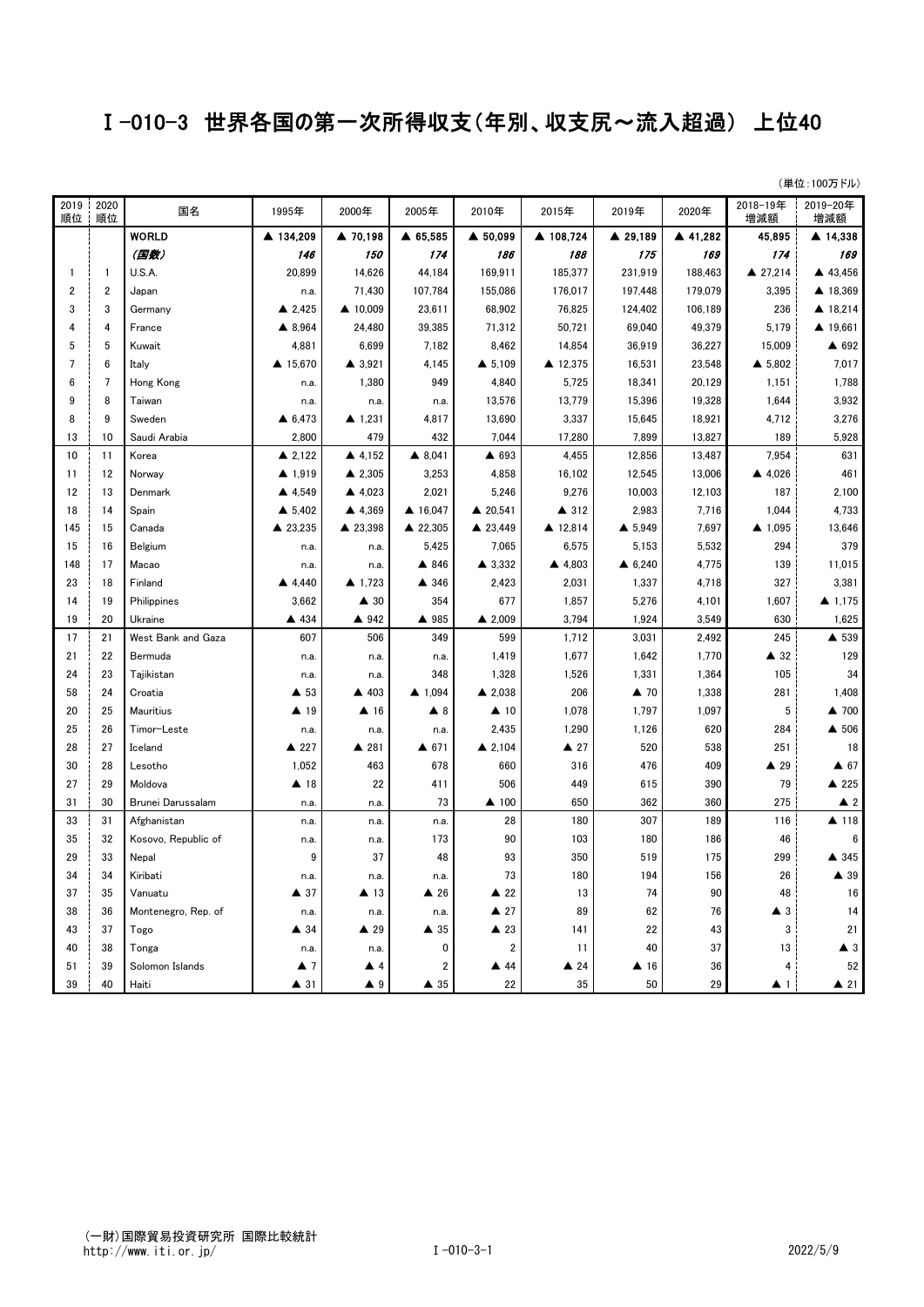## Ⅰ-010-3 世界各国の第一次所得収支(年別、収支尻~流入超過) 上位40

| (単位:100万ドル) |  |
|-------------|--|
|             |  |

| 2019<br>順位     | 2020<br>順位              | 国名                  | 1995年               | 2000年               | 2005年           | 2010年               | 2015年          | 2019年               | 2020年    | 2018-19年<br>増減額     | 2019-20年<br>増減額      |
|----------------|-------------------------|---------------------|---------------------|---------------------|-----------------|---------------------|----------------|---------------------|----------|---------------------|----------------------|
|                |                         | <b>WORLD</b>        | ▲ 134,209           | ▲ 70,198            | ▲ 65,585        | ▲ 50,099            | ▲ 108,724      | ▲ 29,189            | ▲ 41,282 | 45,895              | ▲ 14,338             |
|                |                         | (国数)                | 146                 | 150                 | 174             | 186                 | 188            | 175                 | 169      | 174                 | 169                  |
| 1              | $\mathbf{1}$            | U.S.A.              | 20,899              | 14,626              | 44,184          | 169,911             | 185,377        | 231,919             | 188,463  | ▲ 27,214            | ▲ 43,456             |
| 2              | $\overline{\mathbf{2}}$ | Japan               | n.a.                | 71,430              | 107,784         | 155,086             | 176,017        | 197,448             | 179,079  | 3,395               | ▲ 18,369             |
| 3              | 3                       | Germany             | ▲ 2,425             | ▲ 10,009            | 23,611          | 68,902              | 76,825         | 124,402             | 106,189  | 236                 | ▲ 18,214             |
| 4              | 4                       | France              | ▲ 8,964             | 24,480              | 39,385          | 71,312              | 50,721         | 69,040              | 49,379   | 5,179               | ▲ 19,661             |
| 5              | 5                       | Kuwait              | 4,881               | 6,699               | 7,182           | 8,462               | 14,854         | 36,919              | 36,227   | 15,009              | ▲ 692                |
| $\overline{7}$ | 6                       | Italy               | ▲ 15,670            | ▲ 3,921             | 4,145           | $\triangle$ 5,109   | ▲ 12,375       | 16,531              | 23,548   | ▲ 5,802             | 7,017                |
| 6              | $\overline{7}$          | Hong Kong           | n.a.                | 1,380               | 949             | 4,840               | 5,725          | 18,341              | 20,129   | 1,151               | 1,788                |
| 9              | 8                       | Taiwan              | n.a.                | n.a.                | n.a.            | 13,576              | 13,779         | 15,396              | 19,328   | 1,644               | 3,932                |
| 8              | 9                       | Sweden              | $\triangle$ 6,473   | $\triangle$ 1,231   | 4,817           | 13,690              | 3,337          | 15,645              | 18,921   | 4,712               | 3,276                |
| 13             | 10                      | Saudi Arabia        | 2,800               | 479                 | 432             | 7,044               | 17,280         | 7,899               | 13,827   | 189                 | 5,928                |
| 10             | 11                      | Korea               | ▲ 2,122             | ▲ 4,152             | ▲ 8,041         | ▲ 693               | 4,455          | 12,856              | 13,487   | 7,954               | 631                  |
| 11             | 12                      | Norway              | ▲ 1,919             | ▲ 2,305             | 3,253           | 4,858               | 16,102         | 12,545              | 13,006   | ▲ 4,026             | 461                  |
| 12             | 13                      | Denmark             | ▲ 4,549             | ▲ 4,023             | 2,021           | 5,246               | 9,276          | 10.003              | 12,103   | 187                 | 2,100                |
| 18             | 14                      | Spain               | $\triangle$ 5,402   | ▲ 4,369             | ▲ 16,047        | ▲ 20,541            | ▲ 312          | 2,983               | 7,716    | 1,044               | 4,733                |
| 145            | 15                      | Canada              | ▲ 23,235            | ▲ 23,398            | ▲ 22,305        | ▲ 23,449            | ▲ 12,814       | ▲ 5,949             | 7,697    | $\triangle$ 1,095   | 13,646               |
| 15             | 16                      | Belgium             | n.a.                | n.a.                | 5,425           | 7,065               | 6,575          | 5,153               | 5,532    | 294                 | 379                  |
| 148            | 17                      | Macao               | n.a.                | n.a.                | ▲ 846           | ▲ 3,332             | ▲ 4,803        | 6,240               | 4,775    | 139                 | 11,015               |
| 23             | 18                      | Finland             | ▲ 4.440             | $\triangle$ 1,723   | ▲ 346           | 2,423               | 2,031          | 1,337               | 4,718    | 327                 | 3,381                |
| 14             | 19                      | Philippines         | 3,662               | $\triangle$ 30      | 354             | 677                 | 1,857          | 5,276               | 4,101    | 1,607               | 4.175                |
| 19             | 20                      | Ukraine             | ▲ 434               | ▲ 942               | ▲ 985           | ▲ 2,009             | 3,794          | 1,924               | 3,549    | 630                 | 1,625                |
| 17             | 21                      | West Bank and Gaza  | 607                 | 506                 | 349             | 599                 | 1,712          | 3,031               | 2,492    | 245                 | ▲ 539                |
| 21             | 22                      | Bermuda             | n.a.                | n.a.                | n.a.            | 1,419               | 1,677          | 1,642               | 1,770    | $\triangle$ 32      | 129                  |
| 24             | 23                      | Tajikistan          | n.a.                | n.a.                | 348             | 1,328               | 1,526          | 1,331               | 1,364    | 105                 | 34                   |
| 58             | 24                      | Croatia             | $\blacktriangle$ 53 | $\triangle$ 403     | ▲ 1,094         | ▲ 2,038             | 206            | $\blacktriangle$ 70 | 1,338    | 281                 | 1,408                |
| 20             | 25                      | Mauritius           | $\blacktriangle$ 19 | $\blacktriangle$ 16 | $\triangle$ 8   | $\blacktriangle$ 10 | 1,078          | 1,797               | 1,097    | $\,$ 5 $\,$         | ▲ 700                |
| 25             | 26                      | Timor-Leste         | n.a.                | n.a.                | n.a.            | 2,435               | 1,290          | 1,126               | 620      | 284                 | $\triangle$ 506      |
| 28             | 27                      | Iceland             | ▲ 227               | ▲ 281               | $\triangle$ 671 | $\triangle$ 2,104   | $\triangle$ 27 | 520                 | 538      | 251                 | 18                   |
| 30             | 28                      | Lesotho             | 1,052               | 463                 | 678             | 660                 | 316            | 476                 | 409      | $\blacktriangle$ 29 | $\triangle$ 67       |
| 27             | 29                      | Moldova             | $\triangle$ 18      | 22                  | 411             | 506                 | 449            | 615                 | 390      | 79                  | ▲ 225                |
| 31             | 30                      | Brunei Darussalam   | n.a.                | n.a.                | 73              | $\triangle$ 100     | 650            | 362                 | 360      | 275                 | $\triangle$ 2        |
| 33             | 31                      | Afghanistan         | n.a.                | n.a.                | n.a.            | 28                  | 180            | 307                 | 189      | 116                 | $\blacktriangle$ 118 |
| 35             | 32                      | Kosovo, Republic of | n.a.                | n.a.                | 173             | 90                  | 103            | 180                 | 186      | 46                  | $6\phantom{1}$       |
| 29             | 33                      | Nepal               | $\boldsymbol{9}$    | 37                  | 48              | 93                  | 350            | 519                 | 175      | 299                 | $\triangle$ 345      |
| 34             | 34                      | Kiribati            | n.a.                | n.a.                | n.a.            | 73                  | 180            | 194                 | 156      | 26                  | $\blacktriangle$ 39  |
| 37             | 35                      | Vanuatu             | $\blacktriangle$ 37 | $\blacktriangle$ 13 | $\triangle$ 26  | $\triangle$ 22      | 13             | 74                  | 90       | 48                  | 16                   |
| 38             | 36                      | Montenegro, Rep. of | n.a.                | n.a.                | n.a.            | $\triangle$ 27      | 89             | 62                  | 76       | $\blacktriangle$ 3  | 14                   |
| 43             | 37                      | Togo                | $\triangle$ 34      | $\triangle$ 29      | $\triangle$ 35  | $\blacktriangle$ 23 | 141            | 22                  | 43       | 3                   | 21                   |
| 40             | 38                      | Tonga               | n.a.                | n.a.                | 0               | $\overline{2}$      | 11             | 40                  | 37       | 13                  | $\blacktriangle$ 3   |
| 51             | 39                      | Solomon Islands     | $\blacktriangle$ 7  | $\blacktriangle$ 4  | $\overline{2}$  | ▲ 44                | $\triangle$ 24 | $\blacktriangle$ 16 | 36       | 4                   | 52                   |
| 39             | 40                      | Haiti               | $\blacktriangle$ 31 | $\blacktriangle$ 9  | $\triangle$ 35  | 22                  | 35             | 50                  | 29       | $\blacktriangle$ 1  | $\blacktriangle$ 21  |